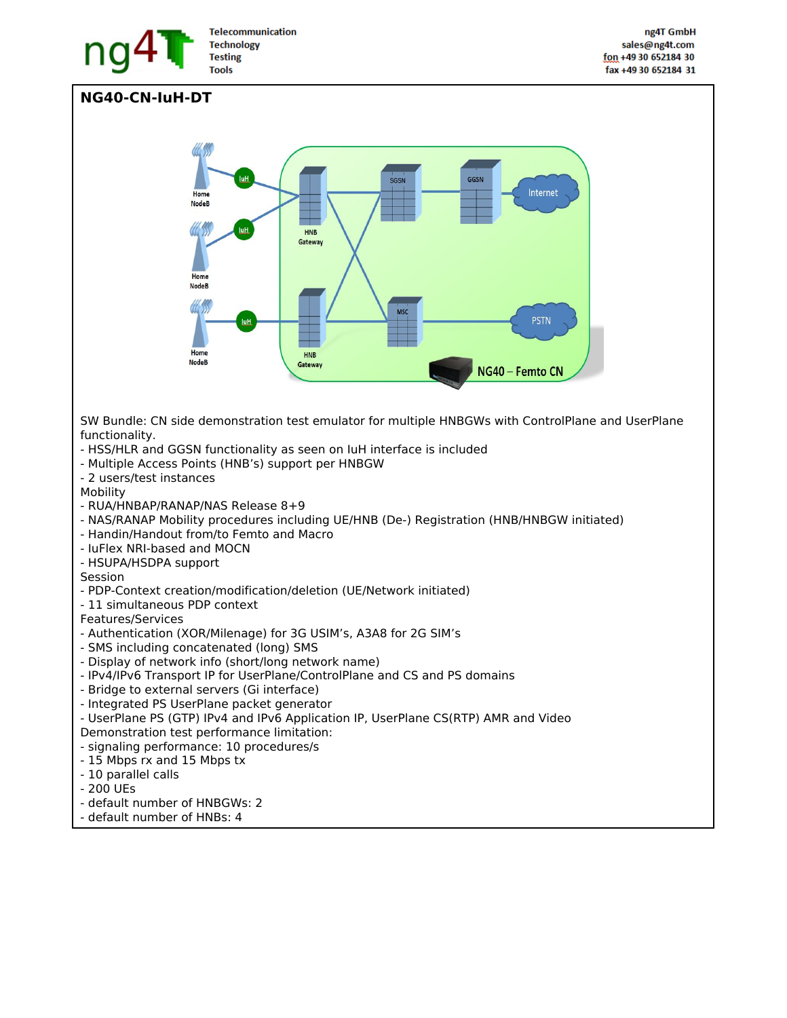

## **NG40-CN-IuH-DT**



SW Bundle: CN side demonstration test emulator for multiple HNBGWs with ControlPlane and UserPlane functionality.

- HSS/HLR and GGSN functionality as seen on IuH interface is included
- Multiple Access Points (HNB's) support per HNBGW
- 2 users/test instances

Mobility

- RUA/HNBAP/RANAP/NAS Release 8+9
- NAS/RANAP Mobility procedures including UE/HNB (De-) Registration (HNB/HNBGW initiated)
- Handin/Handout from/to Femto and Macro
- IuFlex NRI-based and MOCN
- HSUPA/HSDPA support

Session

- PDP-Context creation/modification/deletion (UE/Network initiated)
- 11 simultaneous PDP context

Features/Services

- Authentication (XOR/Milenage) for 3G USIM's, A3A8 for 2G SIM's
- SMS including concatenated (long) SMS
- Display of network info (short/long network name)
- IPv4/IPv6 Transport IP for UserPlane/ControlPlane and CS and PS domains
- Bridge to external servers (Gi interface)
- Integrated PS UserPlane packet generator
- UserPlane PS (GTP) IPv4 and IPv6 Application IP, UserPlane CS(RTP) AMR and Video
- Demonstration test performance limitation:
- signaling performance: 10 procedures/s
- 15 Mbps rx and 15 Mbps tx
- 10 parallel calls
- 200 UEs
- default number of HNBGWs: 2
- default number of HNBs: 4